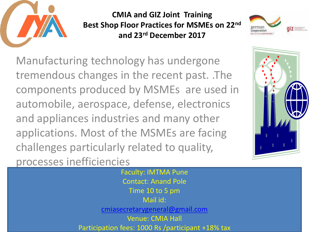

**CMIA and GIZ Joint Training Best Shop Floor Practices for MSMEs on 22nd and 23rd December 2017**



Manufacturing technology has undergone tremendous changes in the recent past. .The components produced by MSMEs are used in automobile, aerospace, defense, electronics and appliances industries and many other applications. Most of the MSMEs are facing challenges particularly related to quality, processes inefficiencies



Faculty: IMTMA Pune Contact: Anand Pole Time 10 to 5 pm Mail id: [cmiasecretarygeneral@gmail.com](mailto:cmiasecretarygeneral@gmail.com) Venue: CMIA Hall Participation fees: 1000 Rs /participant +18% tax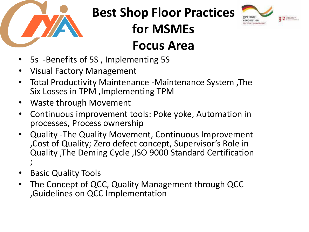

## **Best Shop Floor Practices**

**for MSMEs** 



## **Focus Area**

- 5s -Benefits of 5S , Implementing 5S
- Visual Factory Management
- Total Productivity Maintenance -Maintenance System ,The Six Losses in TPM ,Implementing TPM
- Waste through Movement
- Continuous improvement tools: Poke yoke, Automation in processes, Process ownership
- Quality -The Quality Movement, Continuous Improvement ,Cost of Quality; Zero defect concept, Supervisor's Role in Quality ,The Deming Cycle ,ISO 9000 Standard Certification ;<br>,
- Basic Quality Tools
- The Concept of QCC, Quality Management through QCC ,Guidelines on QCC Implementation